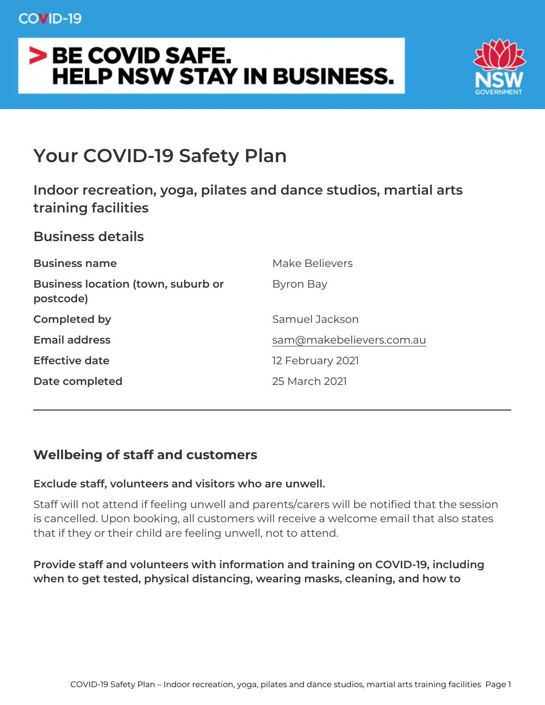## Your COVID-19 Safety Plan

Indoor recreation, yoga, pilates and dance studios, m training facilities Business details Business name Make Believers Business location (town, suburb Byron Bay postcode) Completed by Samuel Jackson Email address [sam@makebelievers.](mailto:sam@makebelievers.com.au)com.au

Effective date 12 February 2021 Date completed 25 March 2021

Wellbeing of staff and customers

Exclude staff, volunteers and visitors who are unwell.

Staff will not attend if feeling unwell and parents/carers will be no is cancelled. Upon booking, all customers will receive a welcome e that if they or their child are feeling unwell, not to attend.

Provide staff and volunteers with information and training on COVI when to get tested, physical distancing, wearing masks, cleaning,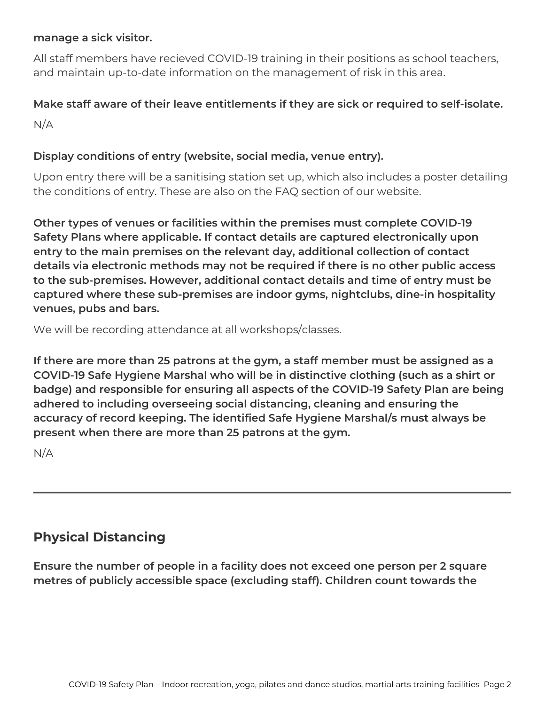#### **manage a sick visitor.**

All staff members have recieved COVID-19 training in their positions as school teachers, and maintain up-to-date information on the management of risk in this area.

# **Make staff aware of their leave entitlements if they are sick or required to self-isolate.**

 $N/A$ 

#### **Display conditions of entry (website, social media, venue entry).**

Upon entry there will be a sanitising station set up, which also includes a poster detailing the conditions of entry. These are also on the FAQ section of our website.

**Other types of venues or facilities within the premises must complete COVID-19 Safety Plans where applicable. If contact details are captured electronically upon entry to the main premises on the relevant day, additional collection of contact details via electronic methods may not be required if there is no other public access to the sub-premises. However, additional contact details and time of entry must be captured where these sub-premises are indoor gyms, nightclubs, dine-in hospitality venues, pubs and bars.**

We will be recording attendance at all workshops/classes.

**If there are more than 25 patrons at the gym, a staff member must be assigned as a COVID-19 Safe Hygiene Marshal who will be in distinctive clothing (such as a shirt or badge) and responsible for ensuring all aspects of the COVID-19 Safety Plan are being adhered to including overseeing social distancing, cleaning and ensuring the accuracy of record keeping. The identified Safe Hygiene Marshal/s must always be present when there are more than 25 patrons at the gym.**

N/A

## **Physical Distancing**

**Ensure the number of people in a facility does not exceed one person per 2 square metres of publicly accessible space (excluding staff). Children count towards the**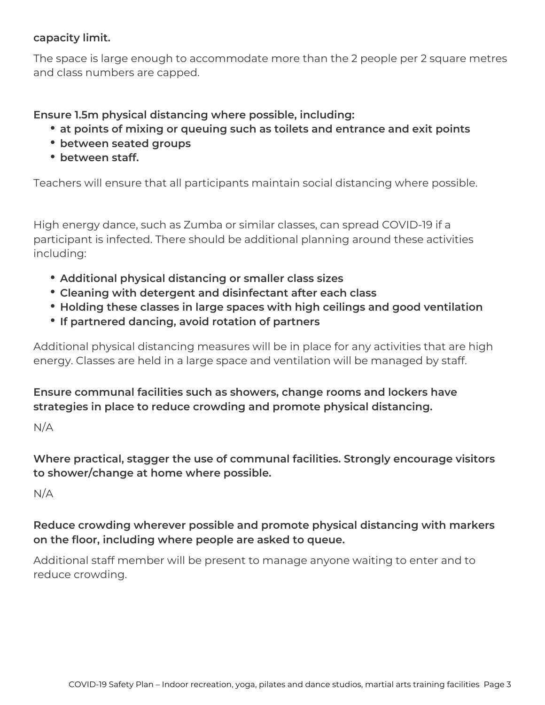#### **capacity limit.**

The space is large enough to accommodate more than the 2 people per 2 square metres and class numbers are capped.

**Ensure 1.5m physical distancing where possible, including:**

- **at points of mixing or queuing such as toilets and entrance and exit points**
- **between seated groups**
- **between staff.**

Teachers will ensure that all participants maintain social distancing where possible.

High energy dance, such as Zumba or similar classes, can spread COVID-19 if a participant is infected. There should be additional planning around these activities including:

- **Additional physical distancing or smaller class sizes**
- **Cleaning with detergent and disinfectant after each class**
- **Holding these classes in large spaces with high ceilings and good ventilation**
- **If partnered dancing, avoid rotation of partners**

Additional physical distancing measures will be in place for any activities that are high energy. Classes are held in a large space and ventilation will be managed by staff.

**Ensure communal facilities such as showers, change rooms and lockers have strategies in place to reduce crowding and promote physical distancing.**

 $N/A$ 

**Where practical, stagger the use of communal facilities. Strongly encourage visitors to shower/change at home where possible.**

 $N/A$ 

**Reduce crowding wherever possible and promote physical distancing with markers on the floor, including where people are asked to queue.**

Additional staff member will be present to manage anyone waiting to enter and to reduce crowding.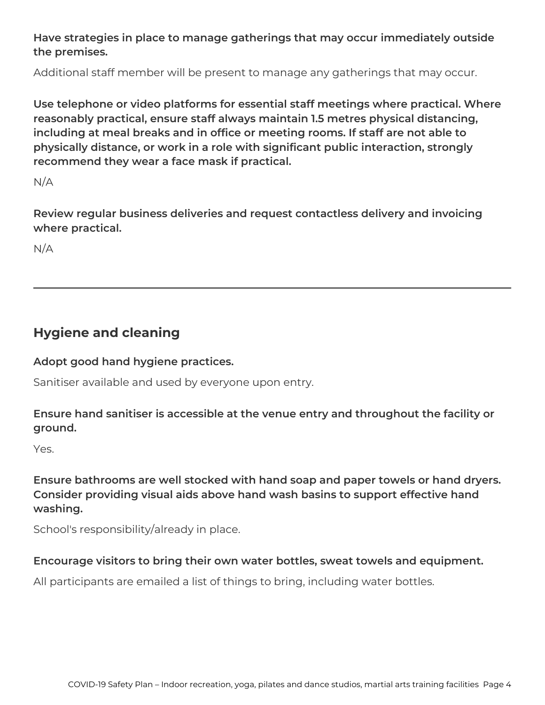#### **Have strategies in place to manage gatherings that may occur immediately outside the premises.**

Additional staff member will be present to manage any gatherings that may occur.

**Use telephone or video platforms for essential staff meetings where practical. Where reasonably practical, ensure staff always maintain 1.5 metres physical distancing, including at meal breaks and in office or meeting rooms. If staff are not able to physically distance, or work in a role with significant public interaction, strongly recommend they wear a face mask if practical.**

 $N/A$ 

**Review regular business deliveries and request contactless delivery and invoicing where practical.**

N/A

### **Hygiene and cleaning**

#### **Adopt good hand hygiene practices.**

Sanitiser available and used by everyone upon entry.

#### **Ensure hand sanitiser is accessible at the venue entry and throughout the facility or ground.**

Yes.

**Ensure bathrooms are well stocked with hand soap and paper towels or hand dryers. Consider providing visual aids above hand wash basins to support effective hand washing.**

School's responsibility/already in place.

#### **Encourage visitors to bring their own water bottles, sweat towels and equipment.**

All participants are emailed a list of things to bring, including water bottles.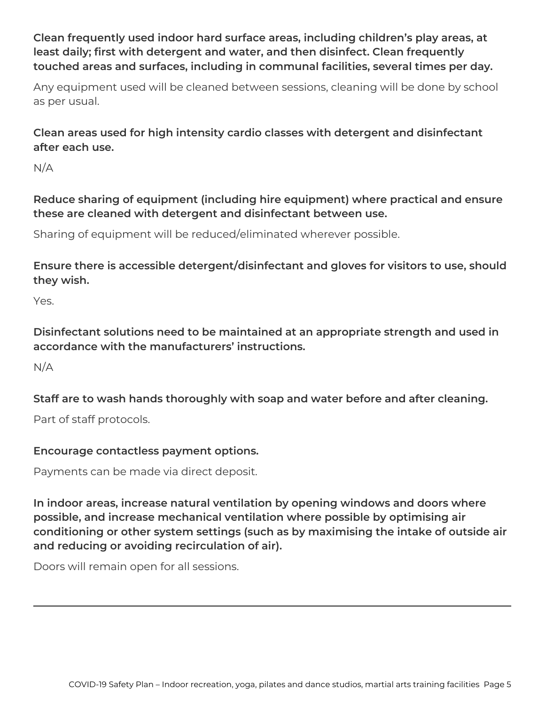#### **Clean frequently used indoor hard surface areas, including children's play areas, at least daily; first with detergent and water, and then disinfect. Clean frequently touched areas and surfaces, including in communal facilities, several times per day.**

Any equipment used will be cleaned between sessions, cleaning will be done by school as per usual.

**Clean areas used for high intensity cardio classes with detergent and disinfectant after each use.**

 $N/A$ 

**Reduce sharing of equipment (including hire equipment) where practical and ensure these are cleaned with detergent and disinfectant between use.**

Sharing of equipment will be reduced/eliminated wherever possible.

**Ensure there is accessible detergent/disinfectant and gloves for visitors to use, should they wish.**

Yes.

**Disinfectant solutions need to be maintained at an appropriate strength and used in accordance with the manufacturers' instructions.**

N/A

**Staff are to wash hands thoroughly with soap and water before and after cleaning.**

Part of staff protocols.

#### **Encourage contactless payment options.**

Payments can be made via direct deposit.

**In indoor areas, increase natural ventilation by opening windows and doors where possible, and increase mechanical ventilation where possible by optimising air conditioning or other system settings (such as by maximising the intake of outside air and reducing or avoiding recirculation of air).**

Doors will remain open for all sessions.